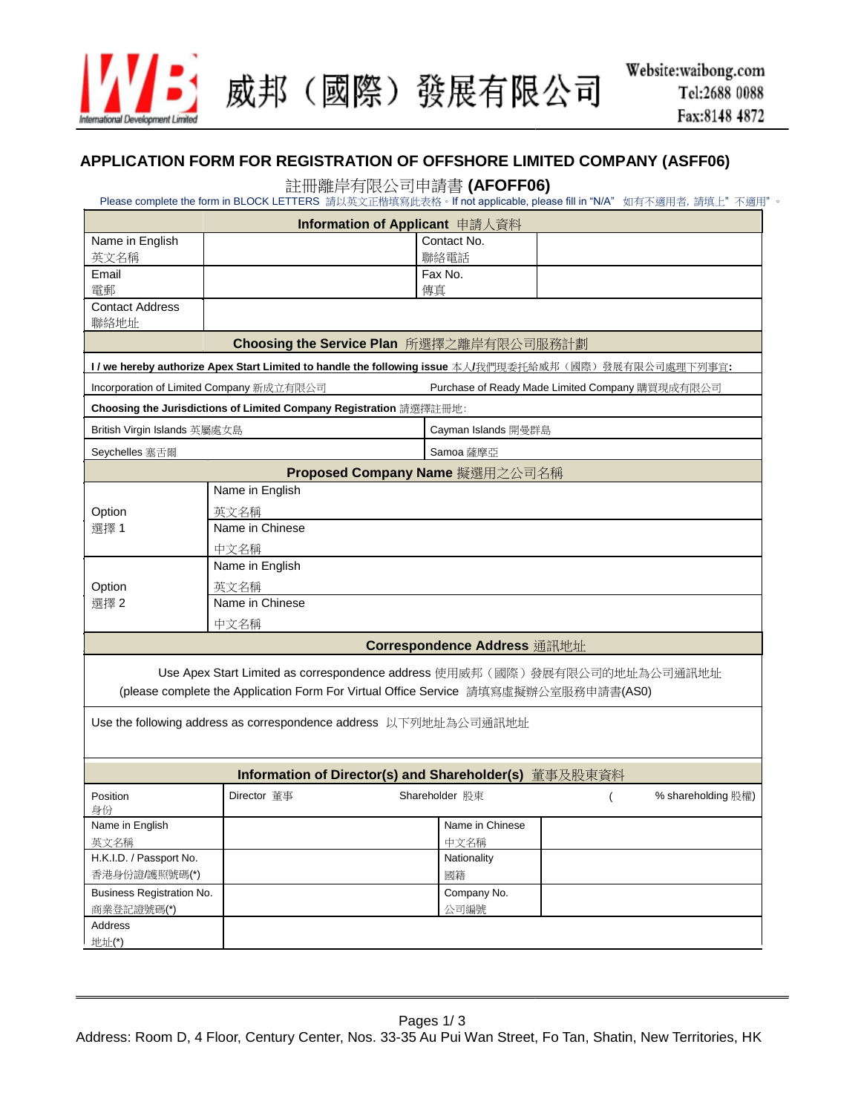

威邦(國際)發展有限公司

## **APPLICATION FORM FOR REGISTRATION OF OFFSHORE LIMITED COMPANY (ASFF06)**

## 註冊離岸有限公司申請書 **(AFOFF06)**

Please complete the form in BLOCK LETTERS 請以英文正楷填寫此表格。If not applicable, please fill in "N/A" 如有不適用者, 請填上"不適用"。

| Information of Applicant 申請人資料           |                                                                    |                                                                                                       |  |  |  |
|------------------------------------------|--------------------------------------------------------------------|-------------------------------------------------------------------------------------------------------|--|--|--|
| Name in English                          |                                                                    | Contact No.                                                                                           |  |  |  |
| 英文名稱                                     |                                                                    | 聯絡電話                                                                                                  |  |  |  |
| Email                                    |                                                                    | Fax No.                                                                                               |  |  |  |
| 電郵                                       |                                                                    | 傳真                                                                                                    |  |  |  |
| <b>Contact Address</b><br>聯絡地址           |                                                                    |                                                                                                       |  |  |  |
|                                          | Choosing the Service Plan 所選擇之離岸有限公司服務計劃                           |                                                                                                       |  |  |  |
|                                          |                                                                    | l / we hereby authorize Apex Start Limited to handle the following issue 本人/我們現委托給威邦(國際)發展有限公司處理下列事宜: |  |  |  |
|                                          | Incorporation of Limited Company 新成立有限公司                           | Purchase of Ready Made Limited Company 購買現成有限公司                                                       |  |  |  |
|                                          | Choosing the Jurisdictions of Limited Company Registration 請選擇註冊地: |                                                                                                       |  |  |  |
| British Virgin Islands 英屬處女島             |                                                                    | Cayman Islands 開曼群島                                                                                   |  |  |  |
| Seychelles 塞舌爾                           |                                                                    | Samoa 薩摩亞                                                                                             |  |  |  |
|                                          |                                                                    | Proposed Company Name 擬選用之公司名稱                                                                        |  |  |  |
|                                          | Name in English                                                    |                                                                                                       |  |  |  |
| Option                                   | 英文名稱                                                               |                                                                                                       |  |  |  |
| 選擇1                                      | Name in Chinese                                                    |                                                                                                       |  |  |  |
|                                          | 中文名稱                                                               |                                                                                                       |  |  |  |
|                                          | Name in English                                                    |                                                                                                       |  |  |  |
| Option                                   | 英文名稱                                                               |                                                                                                       |  |  |  |
| 選擇2                                      | Name in Chinese                                                    |                                                                                                       |  |  |  |
|                                          | 中文名稱                                                               |                                                                                                       |  |  |  |
|                                          |                                                                    | Correspondence Address 通訊地址                                                                           |  |  |  |
|                                          |                                                                    | Use Apex Start Limited as correspondence address 使用威邦 (國際)發展有限公司的地址為公司通訊地址                            |  |  |  |
|                                          |                                                                    | (please complete the Application Form For Virtual Office Service 請填寫虛擬辦公室服務申請書(AS0)                   |  |  |  |
|                                          |                                                                    |                                                                                                       |  |  |  |
|                                          | Use the following address as correspondence address  以下列地址為公司通訊地址  |                                                                                                       |  |  |  |
|                                          |                                                                    |                                                                                                       |  |  |  |
|                                          |                                                                    | Information of Director(s) and Shareholder(s) 董事及股東資料                                                 |  |  |  |
| Position                                 | Director 董事                                                        | Shareholder 股東<br>% shareholding 股權)                                                                  |  |  |  |
| 身份<br>Name in English                    |                                                                    | Name in Chinese                                                                                       |  |  |  |
| 英文名稱                                     |                                                                    | 中文名稱                                                                                                  |  |  |  |
| H.K.I.D. / Passport No.                  |                                                                    | Nationality                                                                                           |  |  |  |
| 香港身份證/護照號碼(*)                            |                                                                    | 國籍                                                                                                    |  |  |  |
| Company No.<br>Business Registration No. |                                                                    |                                                                                                       |  |  |  |
| 商業登記證號碼(*)                               |                                                                    | 公司編號                                                                                                  |  |  |  |
| Address                                  |                                                                    |                                                                                                       |  |  |  |
| 地址(*)                                    |                                                                    |                                                                                                       |  |  |  |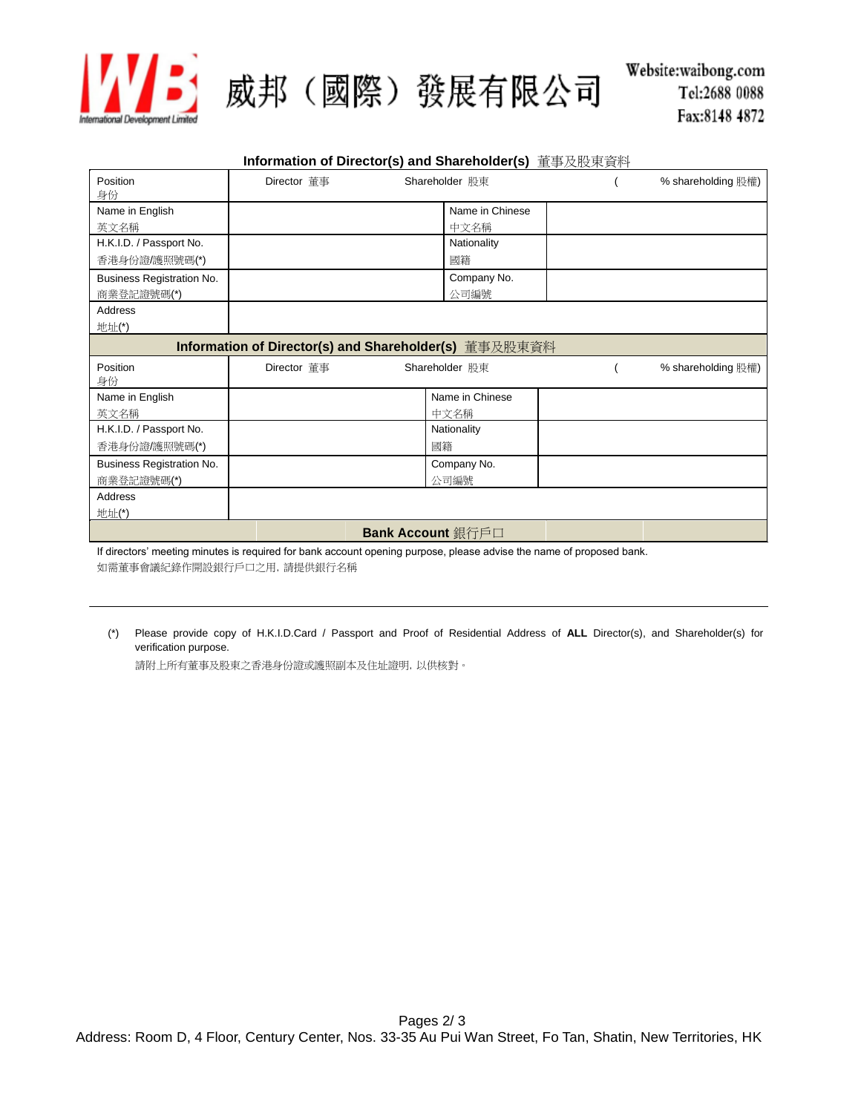

## 5) 威邦(國際)發展有限公司

|                           |             | Information of Director(s) and Shareholder(s)  董事及股東資料 |                    |
|---------------------------|-------------|--------------------------------------------------------|--------------------|
| Position<br>身份            | Director 董事 | Shareholder 股東                                         | % shareholding 股權) |
| Name in English           |             | Name in Chinese                                        |                    |
| 英文名稱                      |             | 中文名稱                                                   |                    |
| H.K.I.D. / Passport No.   |             | Nationality                                            |                    |
| 香港身份證/護照號碼(*)             |             | 國籍                                                     |                    |
| Business Registration No. |             | Company No.                                            |                    |
| 商業登記證號碼(*)                |             | 公司編號                                                   |                    |
| Address                   |             |                                                        |                    |
| 地址(*)                     |             |                                                        |                    |
|                           |             | Information of Director(s) and Shareholder(s) 董事及股東資料  |                    |
| Position                  | Director 董事 | Shareholder 股東                                         | % shareholding 股權) |
| 身份                        |             |                                                        |                    |
| Name in English           |             | Name in Chinese                                        |                    |
| 英文名稱                      |             | 中文名稱                                                   |                    |
| H.K.I.D. / Passport No.   |             | Nationality                                            |                    |
| 香港身份證/護照號碼(*)             |             | 國籍                                                     |                    |
| Business Registration No. |             | Company No.                                            |                    |
| 商業登記證號碼(*)                |             | 公司編號                                                   |                    |
|                           |             |                                                        |                    |
| Address                   |             |                                                        |                    |
| 地址(*)                     |             |                                                        |                    |
|                           |             | <b>Bank Account</b> 銀行戶口                               |                    |

If directors' meeting minutes is required for bank account opening purpose, please advise the name of proposed bank. 如需董事會議紀錄作開設銀行戶口之用,請提供銀行名稱

(\*) Please provide copy of H.K.I.D.Card / Passport and Proof of Residential Address of **ALL** Director(s), and Shareholder(s) for verification purpose.

請附上所有董事及股東之香港身份證或護照副本及住址證明,以供核對。